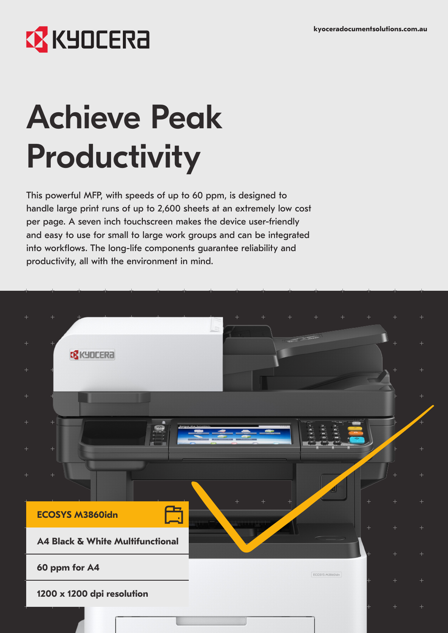# **EX** KYOCERA

# Achieve Peak Productivity

This powerful MFP, with speeds of up to 60 ppm, is designed to handle large print runs of up to 2,600 sheets at an extremely low cost per page. A seven inch touchscreen makes the device user-friendly and easy to use for small to large work groups and can be integrated into workflows. The long-life components guarantee reliability and productivity, all with the environment in mind.